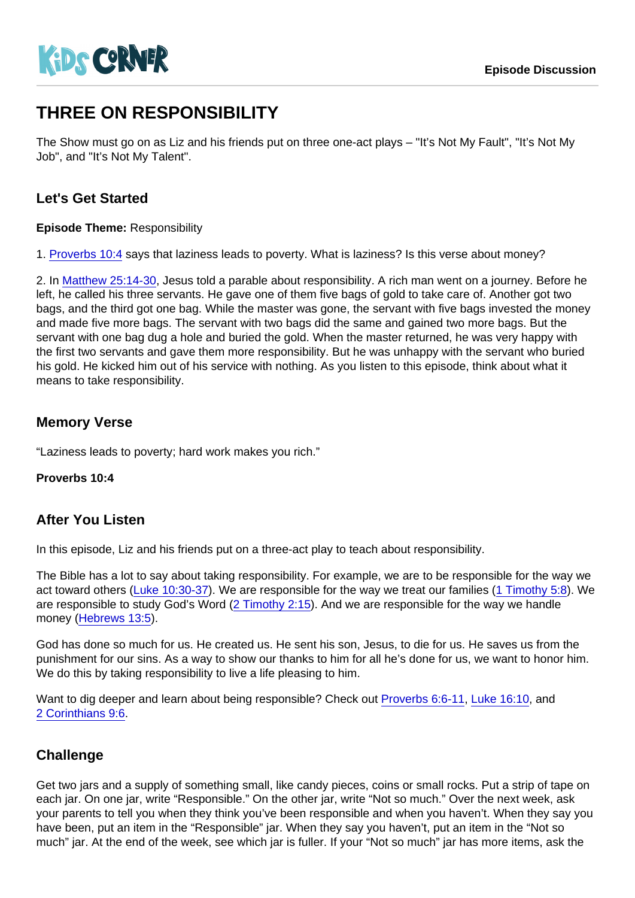# THREE ON RESPONSIBILITY

The Show must go on as Liz and his friends put on three one-act plays – "It's Not My Fault", "It's Not My Job", and "It's Not My Talent".

## Let's Get Started

Episode Theme: Responsibility

1. [Proverbs 10:4](https://www.biblegateway.com/passage/?search=Proverbs+10:4) says that laziness leads to poverty. What is laziness? Is this verse about money?

2. In [Matthew 25:14-30,](https://www.biblegateway.com/passage/?search=Matthew+25:14-30) Jesus told a parable about responsibility. A rich man went on a journey. Before he left, he called his three servants. He gave one of them five bags of gold to take care of. Another got two bags, and the third got one bag. While the master was gone, the servant with five bags invested the money and made five more bags. The servant with two bags did the same and gained two more bags. But the servant with one bag dug a hole and buried the gold. When the master returned, he was very happy with the first two servants and gave them more responsibility. But he was unhappy with the servant who buried his gold. He kicked him out of his service with nothing. As you listen to this episode, think about what it means to take responsibility.

### Memory Verse

"Laziness leads to poverty; hard work makes you rich."

Proverbs 10:4

#### After You Listen

In this episode, Liz and his friends put on a three-act play to teach about responsibility.

The Bible has a lot to say about taking responsibility. For example, we are to be responsible for the way we act toward others [\(Luke 10:30-37](https://www.biblegateway.com/passage/?search=Luke+10:30-37)). We are responsible for the way we treat our families [\(1 Timothy 5:8\)](https://www.biblegateway.com/passage/?search=1+Timothy+5:8). We are responsible to study God's Word ([2 Timothy 2:15](https://www.biblegateway.com/passage/?search=2+Timothy+2:15)). And we are responsible for the way we handle money ([Hebrews 13:5\)](https://www.biblegateway.com/passage/?search=Hebrews+13:5).

God has done so much for us. He created us. He sent his son, Jesus, to die for us. He saves us from the punishment for our sins. As a way to show our thanks to him for all he's done for us, we want to honor him. We do this by taking responsibility to live a life pleasing to him.

Want to dig deeper and learn about being responsible? Check out [Proverbs 6:6-11,](https://www.biblegateway.com/passage/?search=Proverbs+6:6-11) [Luke 16:10](https://www.biblegateway.com/passage/?search=Luke+16:10), and [2 Corinthians 9:6](https://www.biblegateway.com/passage/?search=2+Corinthians+9:6).

## **Challenge**

Get two jars and a supply of something small, like candy pieces, coins or small rocks. Put a strip of tape on each jar. On one jar, write "Responsible." On the other jar, write "Not so much." Over the next week, ask your parents to tell you when they think you've been responsible and when you haven't. When they say you have been, put an item in the "Responsible" jar. When they say you haven't, put an item in the "Not so much" jar. At the end of the week, see which jar is fuller. If your "Not so much" jar has more items, ask the